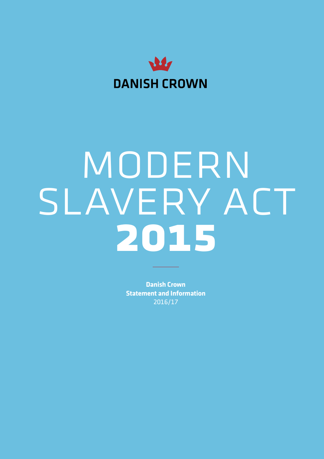

# MODERN SLAVERY ACT **2015**

**Danish Crown Statement and Information**  2016/17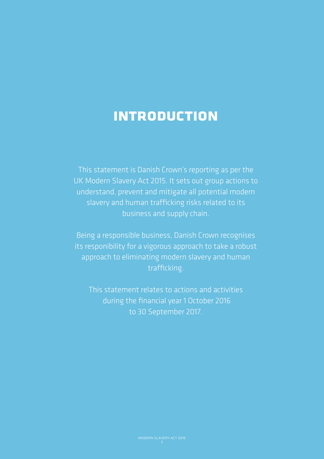### **introduction**

This statement is Danish Crown's reporting as per the UK Modern Slavery Act 2015. It sets out group actions to understand, prevent and mitigate all potential modern slavery and human trafficking risks related to its business and supply chain.

Being a responsible business, Danish Crown recognises its responibility for a vigorous approach to take a robust approach to eliminating modern slavery and human trafficking.

This statement relates to actions and activities during the financial year 1 October 2016 to 30 September 2017.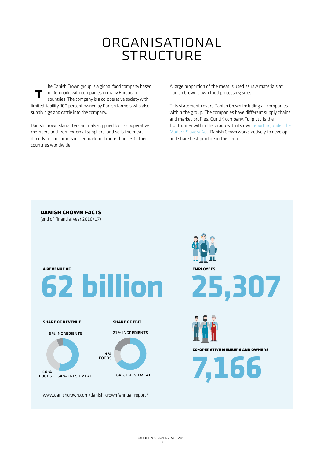### organisational **STRUCTURE**

**t** he Danish Crown group is a global food company based in Denmark, with companies in many European countries. The company is a co-operative society with limited liability, 100 percent owned by Danish farmers who also supply pigs and cattle into the company.

Danish Crown slaughters animals supplied by its cooperative members and from external suppliers, and sells the meat directly to consumers in Denmark and more than 130 other countries worldwide.

A large proportion of the meat is used as raw materials at Danish Crown's own food processing sites.

This statement covers Danish Crown including all companies within the group. The companies have different supply chains and market profiles. Our UK company, Tulip Ltd is the frontrunner within the group with its [own reporting under the](http://www.tulipltd.co.uk/modern-slavery-act-statement)  [Modern Slavery Act](http://www.tulipltd.co.uk/modern-slavery-act-statement). Danish Crown works actively to develop and share best practice in this area.

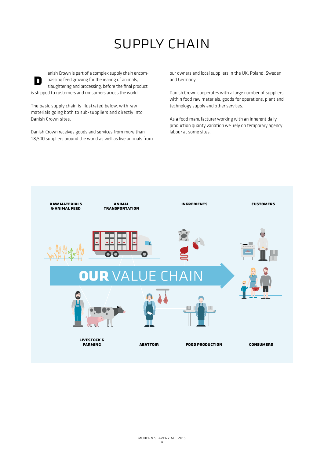## supply chain

**D** anish Crown is part of a complex supply chain encompassing feed growing for the rearing of animals, slaughtering and processing, before the final product is shipped to customers and consumers across the world.

The basic supply chain is illustrated below, with raw materials going both to sub-suppliers and directly into Danish Crown sites.

Danish Crown receives goods and services from more than 18,500 suppliers around the world as well as live animals from our owners and local suppliers in the UK, Poland, Sweden and Germany.

Danish Crown cooperates with a large number of suppliers within food raw materials, goods for operations, plant and technology supply and other services.

As a food manufacturer working with an inherent daily production quanty variation we rely on temporary agency labour at some sites.

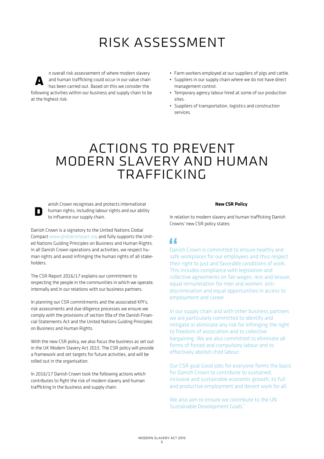### risk assessment

n overall risk assessement of where modern slavery **A** and human trafficking could occur in our value chain Δ has been carried out. Based on this we consider the following activities within our business and supply chain to be at the highest risk:

- Farm workers employed at our suppliers of pigs and cattle.
- Suppliers in our supply chain where we do not have direct management control.
- Temporary agency labour hired at some of our production sites.
- Suppliers of transportation, logistics and construction services.

### actions to prevent modern slavery and human trafficking

anish Crown recognises and protects international human rights, including labour rights and our ability to influence our supply chain.

**D**

Danish Crown is a signatory to the United Nations Global Compact [www.globalcompact.org](http://www.globalcompact.org) and fully supports the United Nations Guiding Principles on Business and Human Rights. In all Danish Crown operations and activities, we respect human rights and avoid infringing the human rights of all stakeholders.

The CSR Report 2016/17 explains our commitment to respecting the people in the communities in which we operate, internally and in our relations with our business partners.

In planning our CSR commitments and the associated KPI's, risk assessments and due diligence processes we ensure we comply with the provisions of section 99a of the Danish Financial Statements Act and the United Nations Guiding Principles on Business and Human Rights.

With the new CSR policy, we also focus the business as set out in the UK Modern Slavery Act 2015. The CSR policy will provide a framework and set targets for future activities, and will be rolled out in the organisation.

In 2016/17 Danish Crown took the following actions which contributes to fight the risk of modern slavery and human trafficking in the business and supply chain:

#### **New CSR Policy**

In relation to modern slavery and human trafficking Danish Crowns' new CSR policy states:

Danish Crown is committed to ensure healthy and safe workplaces for our employees and thus respect their right to just and favorable conditions of work. This includes compliance with legislation and collective agreements on fair wages, rest and leisure, equal remuneration for men and women, antidiscrimination and equal opportunities in access to employment and career. "<br>Dan<br>safe

In our supply chain and with other business partners we are particularly committed to identify and mitigate or eliminate any risk for infringing the right to freedom of association and to collective bargaining. We are also committed to eliminate all forms of forced and compulsory labour and to effectively abolish child labour.

Our CSR goal Good jobs for everyone forms the basis for Danish Crown to contribute to sustained, inclusive and sustainable economic growth, to full and productive employment and decent work for all.

We also aim to ensure we contribute to the UN Sustainable Development Goals."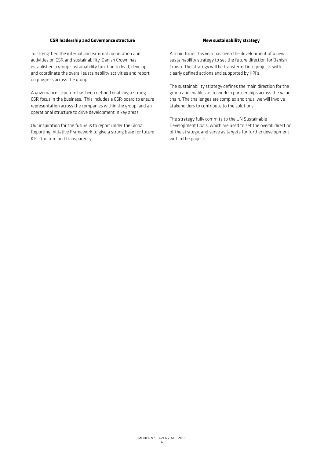#### **CSR leadership and Governance structure**

To strengthen the internal and external cooperation and activities on CSR and sustainability, Danish Crown has established a group sustainability function to lead, develop and coordinate the overall sustainability activities and report on progress across the group.

A governance structure has been defined enabling a strong CSR focus in the business. This includes a CSR-board to ensure representation across the companies within the group, and an operational structure to drive development in key areas.

Our inspiration for the future is to report under the Global Reporting Initiative Framework to give a strong base for future KPI structure and transparency.

#### **New sustainability strategy**

A main focus this year has been the development of a new sustainability strategy to set the future direction for Danish Crown. The strategy will be transferred into projects with clearly defined actions and supported by KPI's.

The sustainability strategy defines the main direction for the group and enables us to work in partnerships across the value chain. The challenges are complex and thus we will involve stakeholders to contribute to the solutions.

The strategy fully commits to the UN Sustainable Development Goals, which are used to set the overall direction of the strategy, and serve as targets for further development within the projects.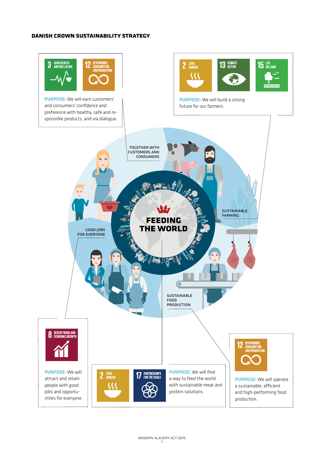#### **danish crown sustainability strategy**

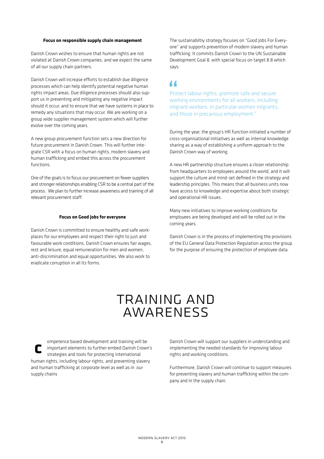#### **Focus on responsible supply chain management**

Danish Crown wishes to ensure that human rights are not violated at Danish Crown companies, and we expect the same of all our supply chain partners.

Danish Crown will increase efforts to establish due diligence processes which can help identify potential negative human rights impact areas. Due diligence processes should also support us in preventing and mitigating any negative impact should it occur, and to ensure that we have systems in place to remedy any situations that may occur. We are working on a group wide supplier management system which will further evolve over the coming years.

A new group procurement function sets a new direction for future procurement in Danish Crown. This will further integrate CSR with a focus on human rights, modern slavery and human trafficking and embed this across the procurement functions.

One of the goals is to focus our procurement on fewer suppliers and stronger relationships enabling CSR to be a central part of the process. We plan to further increase awareness and training of all relevant procurement staff.

#### **Focus on Good jobs for everyone**

Danish Crown is committed to ensure healthy and safe workplaces for our employees and respect their right to just and favourable work conditions. Danish Crown ensures fair wages, rest and leisure, equal remuneration for men and women, anti-discrimination and equal opportunities. We also work to eradicate corruption in all its forms.

The sustainabiltiy strategy focuses on "Good Jobs For Everyone" and supports prevention of modern slavery and human trafficking. It commits Danish Crown to the UN Sustainable Development Goal 8, with special focus on target 8.8 which says:

### "

Protect labour rights, promote safe and secure working environments for all workers, including migrant workers, in particular women migrants, and those in precarious employment."

During the year, the group's HR function initiated a number of cross-organisational initiatives as well as internal knowledge sharing as a way of establishing a uniform approach to the Danish Crown way of working.

A new HR partnership structure ensures a closer relationship from headquarters to employees around the world, and it will support the culture and mind-set defined in the strategy and leadership principles. This means that all business units now have access to knowledge and expertise about both strategic and operational HR issues.

Many new initiatives to improve working conditions for employees are being developed and will be rolled out in the coming years.

Danish Crown is in the process of implementing the provisions of the EU General Data Protection Regulation across the group for the purpose of ensuring the protection of employee data.

### training and awareness

**C** ompetence based development and training will be important elements to further embed Danish Crown's strategies and tools for protecting international human rights, including labour rights, and preventing slavery and human trafficking at corporate level as well as in our supply chains

Danish Crown will support our suppliers in understanding and implementing the needed standards for improving labour rights and working conditions.

Furthermore, Danish Crown will continue to support measures for preventing slavery and human trafficking within the company and in the supply chain.